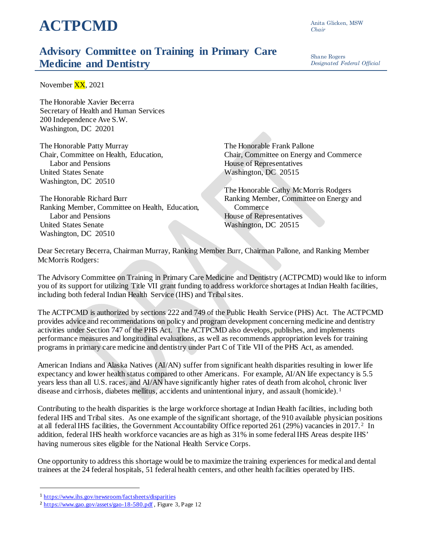## **ACTPCMD**

Anita Glicken, MSW *Chair*

## **Advisory Committee on Training in Primary Care Medicine and Dentistry**

Shane Rogers *Designated Federal Official*

November XX, 2021

The Honorable Xavier Becerra Secretary of Health and Human Services 200 Independence Ave S.W. Washington, DC 20201

The Honorable Patty Murray Chair, Committee on Health, Education, Labor and Pensions United States Senate Washington, DC 20510

The Honorable Richard Burr Ranking Member, Committee on Health, Education, Labor and Pensions United States Senate Washington, DC 20510

The Honorable Frank Pallone Chair, Committee on Energy and Commerce House of Representatives Washington, DC 20515

The Honorable Cathy McMorris Rodgers Ranking Member, Committee on Energy and Commerce House of Representatives Washington, DC 20515

Dear Secretary Becerra, Chairman Murray, Ranking Member Burr, Chairman Pallone, and Ranking Member McMorris Rodgers:

The Advisory Committee on Training in Primary Care Medicine and Dentistry (ACTPCMD) would like to inform you of its support for utilizing Title VII grant funding to address workforce shortages at Indian Health facilities, including both federal Indian Health Service (IHS) and Tribal sites.

The ACTPCMD is authorized by sections 222 and 749 of the Public Health Service (PHS) Act. The ACTPCMD provides advice and recommendations on policy and program development concerning medicine and dentistry activities under Section 747 of the PHS Act. The ACTPCMD also develops, publishes, and implements performance measures and longitudinal evaluations, as well as recommends appropriation levels for training programs in primary care medicine and dentistry under Part C of Title VII of the PHS Act, as amended.

American Indians and Alaska Natives (AI/AN) suffer from significant health disparities resulting in lower life expectancy and lower health status compared to other Americans. For example, AI/AN life expectancy is 5.5 years less than all U.S. races, and AI/AN have significantly higher rates of death from alcohol, chronic liver disease and cirrhosis, diabetes mellitus, accidents and unintentional injury, and assault (homicide).<sup>[1](#page-0-0)</sup>

Contributing to the health disparities is the large workforce shortage at Indian Health facilities, including both federal IHS and Tribal sites. As one example of the significant shortage, of the 910 available physician positions at all federal IHS facilities, the Government Accountability Office reported 261 (29%) vacancies in 2017. [2](#page-0-1) In addition, federal IHS health workforce vacancies are as high as 31% in some federal IHS Areas despite IHS' having numerous sites eligible for the National Health Service Corps.

One opportunity to address this shortage would be to maximize the training experiences for medical and dental trainees at the 24 federal hospitals, 51 federal health centers, and other health facilities operated by IHS.

 $\overline{a}$ 

<span id="page-0-0"></span><sup>1</sup> <https://www.ihs.gov/newsroom/factsheets/disparities>

<span id="page-0-1"></span><sup>2</sup> <https://www.gao.gov/assets/gao-18-580.pdf> , Figure 3, Page 12